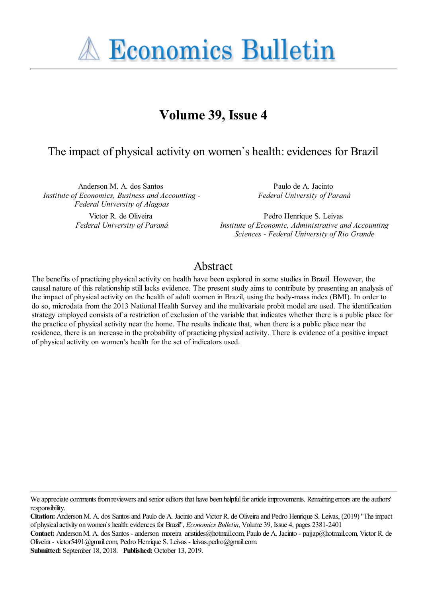**A Economics Bulletin** 

# **Volume 39, Issue 4**

### The impact of physical activity on women`s health: evidences for Brazil

Anderson M. A. dos Santos *Institute of Economics, Business and Accounting - Federal University of Alagoas*

> Victor R. de Oliveira *Federal University of Paraná*

Paulo de A. Jacinto *Federal University of Paraná*

Pedro Henrique S. Leivas *Institute of Economic, Administrative and Accounting Sciences - Federal University of Rio Grande*

#### Abstract

The benefits of practicing physical activity on health have been explored in some studies in Brazil. However, the causal nature of this relationship still lacks evidence. The present study aims to contribute by presenting an analysis of the impact of physical activity on the health of adult women in Brazil, using the body-mass index (BMI). In order to do so, microdata from the 2013 National Health Survey and the multivariate probit model are used. The identification strategy employed consists of a restriction of exclusion of the variable that indicates whether there is a public place for the practice of physical activity near the home. The results indicate that, when there is a public place near the residence, there is an increase in the probability of practicing physical activity. There is evidence of a positive impact of physical activity on women's health for the set of indicators used.

We appreciate comments from reviewers and senior editors that have been helpful for article improvements. Remaining errors are the authors' responsibility.

**Citation:** Anderson M. A. dos Santos and Paulo de A. Jacinto and Victor R. de Oliveira and Pedro Henrique S. Leivas, (2019) ''The impact of physical activity on women`s health: evidences for Brazil'', *Economics Bulletin*, Volume 39, Issue 4, pages 2381-2401

**Contact:** Anderson M. A. dos Santos - anderson\_moreira\_aristides@hotmail.com, Paulo de A. Jacinto - pajjap@hotmail.com, Victor R. de Oliveira - victor5491@gmail.com, Pedro Henrique S. Leivas - leivas.pedro@gmail.com.

**Submitted:** September 18, 2018. **Published:** October 13, 2019.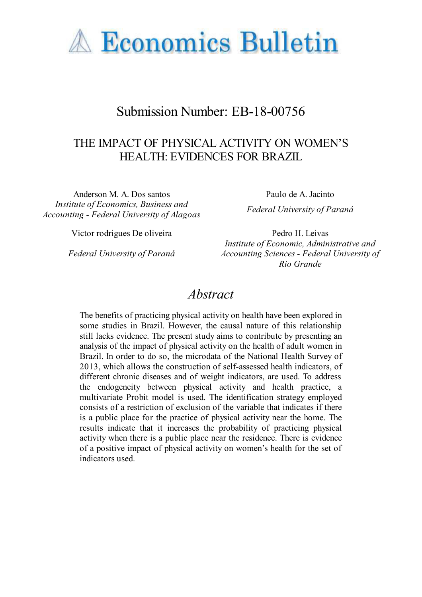

# Submission Number: EB-18-00756

## THE IMPACT OF PHYSICAL ACTIVITY ON WOMEN'S HEALTH: EVIDENCES FOR BRAZIL

Anderson M. A. Dos santos Paulo de A. Jacinto *Institute of Economics, Business and Accounting - Federal University of Alagoas Federal University of Paraná*

Victor rodrigues De oliveira Pedro H. Leivas

*Federal University of Paraná*

*Institute of Economic, Administrative and Accounting Sciences - Federal University of Rio Grande*

## *Abstract*

The benefits of practicing physical activity on health have been explored in some studies in Brazil. However, the causal nature of this relationship still lacks evidence. The present study aims to contribute by presenting an analysis of the impact of physical activity on the health of adult women in Brazil. In order to do so, the microdata of the National Health Survey of 2013, which allows the construction of self-assessed health indicators, of different chronic diseases and of weight indicators, are used. To address the endogeneity between physical activity and health practice, a multivariate Probit model is used. The identification strategy employed consists of a restriction of exclusion of the variable that indicates if there is a public place for the practice of physical activity near the home. The results indicate that it increases the probability of practicing physical activity when there is a public place near the residence. There is evidence of a positive impact of physical activity on women's health for the set of indicators used.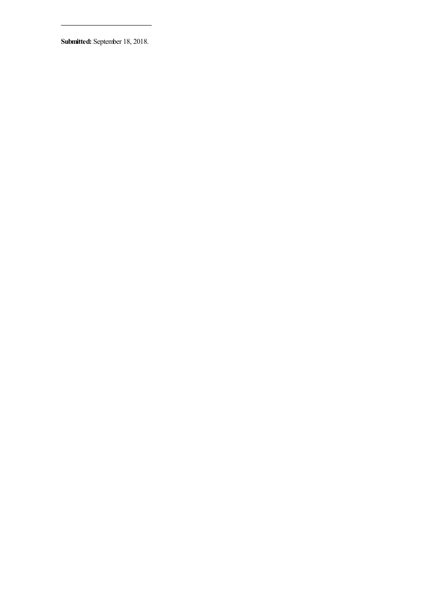**Submitted:** September 18, 2018.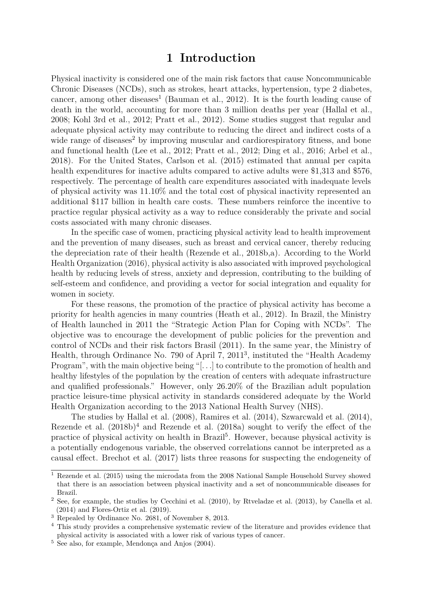#### **1 Introduction**

Physical inactivity is considered one of the main risk factors that cause Noncommunicable Chronic Diseases (NCDs), such as strokes, heart attacks, hypertension, type 2 diabetes, cancer, among other diseases<sup>[1](#page-3-0)</sup> [\(Bauman et al., 2012\)](#page-10-0). It is the fourth leading cause of death in the world, accounting for more than 3 million deaths per year [\(Hallal et al.,](#page-11-0) [2008;](#page-11-0) [Kohl 3rd et al., 2012;](#page-12-0) [Pratt et al., 2012\)](#page-13-0). Some studies suggest that regular and adequate physical activity may contribute to reducing the direct and indirect costs of a wide range of diseases<sup>[2](#page-3-1)</sup> by improving muscular and cardiorespiratory fitness, and bone and functional health [\(Lee et al., 2012;](#page-12-1) [Pratt et al., 2012;](#page-13-0) [Ding et al., 2016;](#page-11-1) [Arbel et al.,](#page-10-1) [2018\)](#page-10-1). For the United States, [Carlson et al.](#page-11-2) [\(2015\)](#page-11-2) estimated that annual per capita health expenditures for inactive adults compared to active adults were \$1,313 and \$576, respectively. The percentage of health care expenditures associated with inadequate levels of physical activity was 11.10% and the total cost of physical inactivity represented an additional \$117 billion in health care costs. These numbers reinforce the incentive to practice regular physical activity as a way to reduce considerably the private and social costs associated with many chronic diseases.

In the specific case of women, practicing physical activity lead to health improvement and the prevention of many diseases, such as breast and cervical cancer, thereby reducing the depreciation rate of their health [\(Rezende et al., 2018b](#page-13-1)[,a\)](#page-13-2). According to the [World](#page-14-0) [Health Organization \(2016\)](#page-14-0), physical activity is also associated with improved psychological health by reducing levels of stress, anxiety and depression, contributing to the building of self-esteem and confidence, and providing a vector for social integration and equality for women in society.

For these reasons, the promotion of the practice of physical activity has become a priority for health agencies in many countries [\(Heath et al., 2012\)](#page-12-2). In Brazil, the Ministry of Health launched in 2011 the "Strategic Action Plan for Coping with NCDs". The objective was to encourage the development of public policies for the prevention and control of NCDs and their risk factors [Brasil \(2011\)](#page-11-3). In the same year, the Ministry of Health, through Ordinance No. 790 of April 7, 2011[3](#page-3-2) , instituted the "Health Academy Program", with the main objective being "[...] to contribute to the promotion of health and healthy lifestyles of the population by the creation of centers with adequate infrastructure and qualified professionals." However, only 26.20% of the Brazilian adult population practice leisure-time physical activity in standards considered adequate by the World Health Organization according to the 2013 National Health Survey (NHS).

The studies by [Hallal et al. \(2008\)](#page-11-0), [Ramires et al. \(2014\)](#page-13-3), [Szwarcwald et al. \(2014\)](#page-14-1), [Rezende et al.](#page-13-1)  $(2018b)^4$  $(2018b)^4$  $(2018b)^4$  and [Rezende et al.](#page-13-2)  $(2018a)$  sought to verify the effect of the practice of physical activity on health in Brazil<sup>[5](#page-3-4)</sup>. However, because physical activity is a potentially endogenous variable, the observed correlations cannot be interpreted as a causal effect. [Brechot et al.](#page-11-4) [\(2017\)](#page-11-4) lists three reasons for suspecting the endogeneity of

<span id="page-3-0"></span><sup>&</sup>lt;sup>1</sup> [Rezende et al.](#page-13-4) [\(2015\)](#page-13-4) using the microdata from the 2008 National Sample Household Survey showed that there is an association between physical inactivity and a set of noncommunicable diseases for Brazil.

<span id="page-3-1"></span><sup>2</sup> See, for example, the studies by [Cecchini et al.](#page-11-5) [\(2010\)](#page-11-5), by [Rtveladze et al. \(2013\)](#page-13-5), by [Canella et al.](#page-11-6) [\(2014\)](#page-11-6) and [Flores-Ortiz et al.](#page-11-7) [\(2019\)](#page-11-7).

<span id="page-3-2"></span><sup>3</sup> Repealed by Ordinance No. 2681, of November 8, 2013.

<span id="page-3-3"></span><sup>&</sup>lt;sup>4</sup> This study provides a comprehensive systematic review of the literature and provides evidence that physical activity is associated with a lower risk of various types of cancer.

<span id="page-3-4"></span><sup>5</sup> See also, for example, [Mendonça and Anjos \(2004\)](#page-13-6).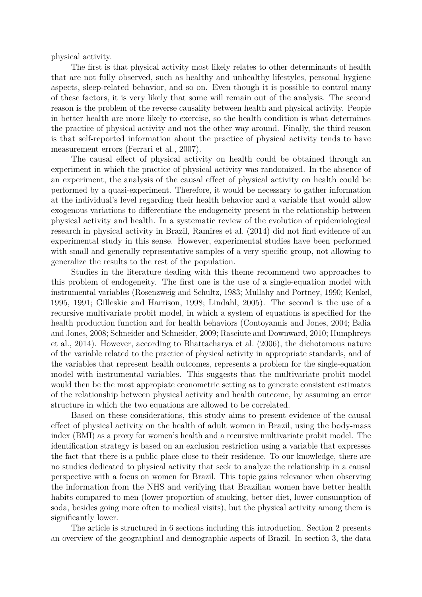physical activity.

The first is that physical activity most likely relates to other determinants of health that are not fully observed, such as healthy and unhealthy lifestyles, personal hygiene aspects, sleep-related behavior, and so on. Even though it is possible to control many of these factors, it is very likely that some will remain out of the analysis. The second reason is the problem of the reverse causality between health and physical activity. People in better health are more likely to exercise, so the health condition is what determines the practice of physical activity and not the other way around. Finally, the third reason is that self-reported information about the practice of physical activity tends to have measurement errors [\(Ferrari et al., 2007\)](#page-11-8).

The causal effect of physical activity on health could be obtained through an experiment in which the practice of physical activity was randomized. In the absence of an experiment, the analysis of the causal effect of physical activity on health could be performed by a quasi-experiment. Therefore, it would be necessary to gather information at the individual's level regarding their health behavior and a variable that would allow exogenous variations to differentiate the endogeneity present in the relationship between physical activity and health. In a systematic review of the evolution of epidemiological research in physical activity in Brazil, [Ramires et al.](#page-13-3) [\(2014\)](#page-13-3) did not find evidence of an experimental study in this sense. However, experimental studies have been performed with small and generally representative samples of a very specific group, not allowing to generalize the results to the rest of the population.

Studies in the literature dealing with this theme recommend two approaches to this problem of endogeneity. The first one is the use of a single-equation model with instrumental variables [\(Rosenzweig and Schultz, 1983;](#page-13-7) [Mullahy and Portney, 1990;](#page-13-8) [Kenkel,](#page-12-3) [1995,](#page-12-3) [1991;](#page-12-4) [Gilleskie and Harrison, 1998;](#page-11-9) [Lindahl, 2005\)](#page-12-5). The second is the use of a recursive multivariate probit model, in which a system of equations is specified for the health production function and for health behaviors [\(Contoyannis and Jones, 2004;](#page-11-10) [Balia](#page-10-2) [and Jones, 2008;](#page-10-2) [Schneider and Schneider, 2009;](#page-14-2) [Rasciute and Downward, 2010;](#page-13-9) [Humphreys](#page-12-6) [et al., 2014\)](#page-12-6). However, according to [Bhattacharya et al.](#page-10-3) [\(2006\)](#page-10-3), the dichotomous nature of the variable related to the practice of physical activity in appropriate standards, and of the variables that represent health outcomes, represents a problem for the single-equation model with instrumental variables. This suggests that the multivariate probit model would then be the most appropiate econometric setting as to generate consistent estimates of the relationship between physical activity and health outcome, by assuming an error structure in which the two equations are allowed to be correlated.

Based on these considerations, this study aims to present evidence of the causal effect of physical activity on the health of adult women in Brazil, using the body-mass index (BMI) as a proxy for women's health and a recursive multivariate probit model. The identification strategy is based on an exclusion restriction using a variable that expresses the fact that there is a public place close to their residence. To our knowledge, there are no studies dedicated to physical activity that seek to analyze the relationship in a causal perspective with a focus on women for Brazil. This topic gains relevance when observing the information from the NHS and verifying that Brazilian women have better health habits compared to men (lower proportion of smoking, better diet, lower consumption of soda, besides going more often to medical visits), but the physical activity among them is significantly lower.

The article is structured in 6 sections including this introduction. Section 2 presents an overview of the geographical and demographic aspects of Brazil. In section 3, the data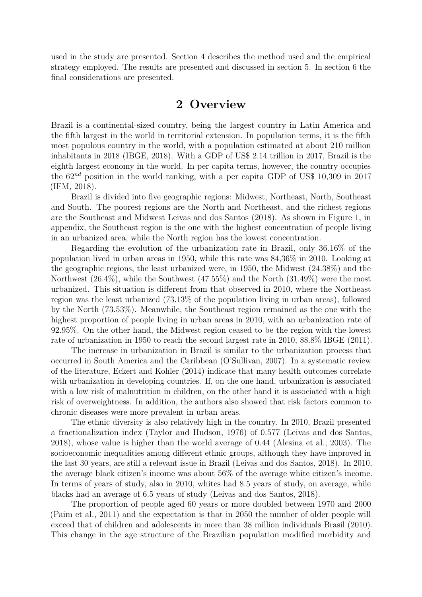used in the study are presented. Section 4 describes the method used and the empirical strategy employed. The results are presented and discussed in section 5. In section 6 the final considerations are presented.

#### **2 Overview**

Brazil is a continental-sized country, being the largest country in Latin America and the fifth largest in the world in territorial extension. In population terms, it is the fifth most populous country in the world, with a population estimated at about 210 million inhabitants in 2018 [\(IBGE, 2018\)](#page-12-7). With a GDP of US\$ 2.14 trillion in 2017, Brazil is the eighth largest economy in the world. In per capita terms, however, the country occupies the 62*nd* position in the world ranking, with a per capita GDP of US\$ 10,309 in 2017 [\(IFM, 2018\)](#page-12-8).

Brazil is divided into five geographic regions: Midwest, Northeast, North, Southeast and South. The poorest regions are the North and Northeast, and the richest regions are the Southeast and Midwest [Leivas and dos Santos \(2018\)](#page-12-9). As shown in Figure [1,](#page-15-0) in appendix, the Southeast region is the one with the highest concentration of people living in an urbanized area, while the North region has the lowest concentration.

Regarding the evolution of the urbanization rate in Brazil, only 36.16% of the population lived in urban areas in 1950, while this rate was 84,36% in 2010. Looking at the geographic regions, the least urbanized were, in 1950, the Midwest (24.38%) and the Northwest (26.4%), while the Southwest (47.55%) and the North (31.49%) were the most urbanized. This situation is different from that observed in 2010, where the Northeast region was the least urbanized (73.13% of the population living in urban areas), followed by the North (73.53%). Meanwhile, the Southeast region remained as the one with the highest proportion of people living in urban areas in 2010, with an urbanization rate of 92.95%. On the other hand, the Midwest region ceased to be the region with the lowest rate of urbanization in 1950 to reach the second largest rate in 2010, 88.8% [IBGE](#page-12-10) [\(2011\)](#page-12-10).

The increase in urbanization in Brazil is similar to the urbanization process that occurred in South America and the Caribbean [\(O'Sullivan, 2007\)](#page-13-10). In a systematic review of the literature, [Eckert and Kohler](#page-11-11) [\(2014\)](#page-11-11) indicate that many health outcomes correlate with urbanization in developing countries. If, on the one hand, urbanization is associated with a low risk of malnutrition in children, on the other hand it is associated with a high risk of overweightness. In addition, the authors also showed that risk factors common to chronic diseases were more prevalent in urban areas.

The ethnic diversity is also relatively high in the country. In 2010, Brazil presented a fractionalization index [\(Taylor and Hudson, 1976\)](#page-14-3) of 0.577 [\(Leivas and dos Santos,](#page-12-9) [2018\)](#page-12-9), whose value is higher than the world average of 0.44 [\(Alesina et al., 2003\)](#page-10-4). The socioeconomic inequalities among different ethnic groups, although they have improved in the last 30 years, are still a relevant issue in Brazil [\(Leivas and dos Santos, 2018\)](#page-12-9). In 2010, the average black citizen's income was about 56% of the average white citizen's income. In terms of years of study, also in 2010, whites had 8.5 years of study, on average, while blacks had an average of 6.5 years of study [\(Leivas and dos Santos, 2018\)](#page-12-9).

The proportion of people aged 60 years or more doubled between 1970 and 2000 [\(Paim et al., 2011\)](#page-13-11) and the expectation is that in 2050 the number of older people will exceed that of children and adolescents in more than 38 million individuals [Brasil](#page-10-5) [\(2010\)](#page-10-5). This change in the age structure of the Brazilian population modified morbidity and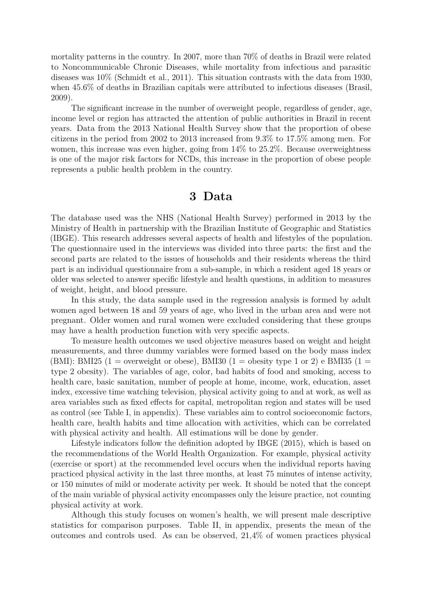mortality patterns in the country. In 2007, more than 70% of deaths in Brazil were related to Noncommunicable Chronic Diseases, while mortality from infectious and parasitic diseases was 10% [\(Schmidt et al., 2011\)](#page-14-4). This situation contrasts with the data from 1930, when 45.6% of deaths in Brazilian capitals were attributed to infectious diseases [\(Brasil,](#page-10-6) [2009\)](#page-10-6).

The significant increase in the number of overweight people, regardless of gender, age, income level or region has attracted the attention of public authorities in Brazil in recent years. Data from the 2013 National Health Survey show that the proportion of obese citizens in the period from 2002 to 2013 increased from 9.3% to 17.5% among men. For women, this increase was even higher, going from 14% to 25.2%. Because overweightness is one of the major risk factors for NCDs, this increase in the proportion of obese people represents a public health problem in the country.

#### **3 Data**

The database used was the NHS (National Health Survey) performed in 2013 by the Ministry of Health in partnership with the Brazilian Institute of Geographic and Statistics (IBGE). This research addresses several aspects of health and lifestyles of the population. The questionnaire used in the interviews was divided into three parts: the first and the second parts are related to the issues of households and their residents whereas the third part is an individual questionnaire from a sub-sample, in which a resident aged 18 years or older was selected to answer specific lifestyle and health questions, in addition to measures of weight, height, and blood pressure.

In this study, the data sample used in the regression analysis is formed by adult women aged between 18 and 59 years of age, who lived in the urban area and were not pregnant. Older women and rural women were excluded considering that these groups may have a health production function with very specific aspects.

To measure health outcomes we used objective measures based on weight and height measurements, and three dummy variables were formed based on the body mass index (BMI): BMI25 (1 = overweight or obese), BMI30 (1 = obesity type 1 or 2) e BMI35 (1 = type 2 obesity). The variables of age, color, bad habits of food and smoking, access to health care, basic sanitation, number of people at home, income, work, education, asset index, excessive time watching television, physical activity going to and at work, as well as area variables such as fixed effects for capital, metropolitan region and states will be used as control (see Table [I,](#page-16-0) in appendix). These variables aim to control socioeconomic factors, health care, health habits and time allocation with activities, which can be correlated with physical activity and health. All estimations will be done by gender.

Lifestyle indicators follow the definition adopted by [IBGE \(2015\)](#page-12-11), which is based on the recommendations of the World Health Organization. For example, physical activity (exercise or sport) at the recommended level occurs when the individual reports having practiced physical activity in the last three months, at least 75 minutes of intense activity, or 150 minutes of mild or moderate activity per week. It should be noted that the concept of the main variable of physical activity encompasses only the leisure practice, not counting physical activity at work.

Although this study focuses on women's health, we will present male descriptive statistics for comparison purposes. Table [II,](#page-18-0) in appendix, presents the mean of the outcomes and controls used. As can be observed, 21,4% of women practices physical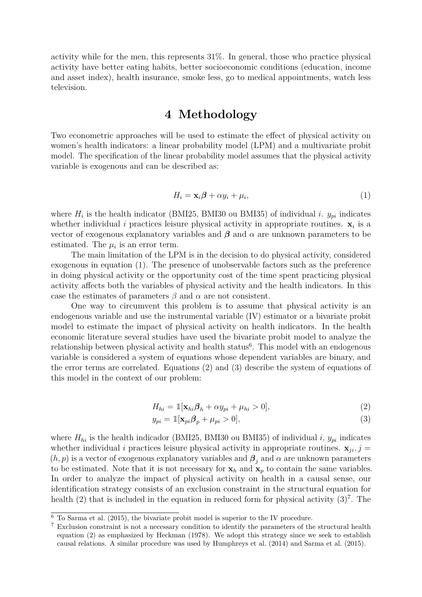activity while for the men, this represents 31%. In general, those who practice physical activity have better eating habits, better socioeconomic conditions (education, income and asset index), health insurance, smoke less, go to medical appointments, watch less television.

### **4 Methodology**

Two econometric approaches will be used to estimate the effect of physical activity on women's health indicators: a linear probability model (LPM) and a multivariate probit model. The specification of the linear probability model assumes that the physical activity variable is exogenous and can be described as:

<span id="page-7-0"></span>
$$
H_i = \mathbf{x}_i \boldsymbol{\beta} + \alpha y_i + \mu_i,\tag{1}
$$

where  $H_i$  is the health indicator (BMI25, BMI30 ou BMI35) of individual *i*.  $y_{pi}$  indicates whether individual *i* practices leisure physical activity in appropriate routines.  $\mathbf{x}_i$  is a vector of exogenous explanatory variables and  $\beta$  and  $\alpha$  are unknown parameters to be estimated. The  $\mu_i$  is an error term.

The main limitation of the LPM is in the decision to do physical activity, considered exogenous in equation [\(1\)](#page-7-0). The presence of unobservable factors such as the preference in doing physical activity or the opportunity cost of the time spent practicing physical activity affects both the variables of physical activity and the health indicators. In this case the estimates of parameters  $\beta$  and  $\alpha$  are not consistent.

One way to circumvent this problem is to assume that physical activity is an endogenous variable and use the instrumental variable (IV) estimator or a bivariate probit model to estimate the impact of physical activity on health indicators. In the health economic literature several studies have used the bivariate probit model to analyze the relationship between physical activity and health status<sup>[6](#page-7-1)</sup>. This model with an endogenous variable is considered a system of equations whose dependent variables are binary, and the error terms are correlated. Equations [\(2\)](#page-7-2) and [\(3\)](#page-7-3) describe the system of equations of this model in the context of our problem:

$$
H_{hi} = \mathbb{1}[\mathbf{x}_{hi}\boldsymbol{\beta}_h + \alpha y_{pi} + \mu_{hi} > 0],\tag{2}
$$

<span id="page-7-3"></span><span id="page-7-2"></span>
$$
y_{pi} = \mathbb{1}[\mathbf{x}_{pi}\boldsymbol{\beta}_p + \mu_{pi} > 0],\tag{3}
$$

where  $H_{hi}$  is the health indicador (BMI25, BMI30 ou BMI35) of individual *i*,  $y_{pi}$  indicates whether individual *i* practices leisure physical activity in appropriate routines.  $\mathbf{x}_{ji}$ ,  $j =$  $(h, p)$  is a vector of exogenous explanatory variables and  $\beta_j$  and  $\alpha$  are unknown parameters to be estimated. Note that it is not necessary for  $x_h$  and  $x_p$  to contain the same variables. In order to analyze the impact of physical activity on health in a causal sense, our identification strategy consists of an exclusion constraint in the structural equation for health [\(2\)](#page-7-2) that is included in the equation in reduced form for physical activity  $(3)^7$  $(3)^7$  $(3)^7$ . The

<span id="page-7-1"></span><sup>6</sup> To [Sarma et al.](#page-14-5) [\(2015\)](#page-14-5), the bivariate probit model is superior to the IV procedure.

<span id="page-7-4"></span><sup>7</sup> Exclusion constraint is not a necessary condition to identify the parameters of the structural health equation [\(2\)](#page-7-2) as emphasized by [Heckman](#page-12-12) [\(1978\)](#page-12-12). We adopt this strategy since we seek to establish causal relations. A similar procedure was used by [Humphreys et al.](#page-12-6) [\(2014\)](#page-12-6) and [Sarma et al.](#page-14-5) [\(2015\)](#page-14-5).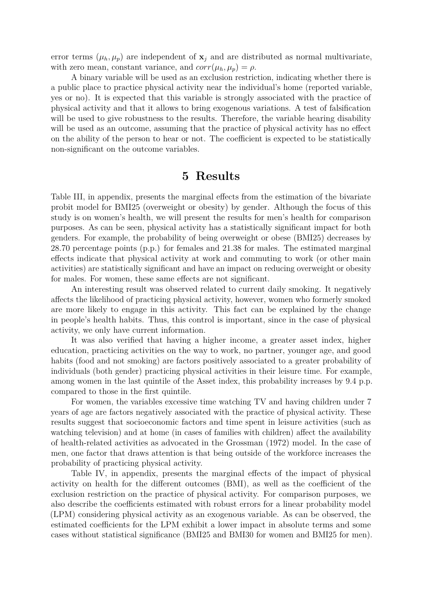error terms  $(\mu_h, \mu_p)$  are independent of  $\mathbf{x}_i$  and are distributed as normal multivariate, with zero mean, constant variance, and  $corr(\mu_h, \mu_p) = \rho$ .

A binary variable will be used as an exclusion restriction, indicating whether there is a public place to practice physical activity near the individual's home (reported variable, yes or no). It is expected that this variable is strongly associated with the practice of physical activity and that it allows to bring exogenous variations. A test of falsification will be used to give robustness to the results. Therefore, the variable hearing disability will be used as an outcome, assuming that the practice of physical activity has no effect on the ability of the person to hear or not. The coefficient is expected to be statistically non-significant on the outcome variables.

#### **5 Results**

Table [III,](#page-19-0) in appendix, presents the marginal effects from the estimation of the bivariate probit model for BMI25 (overweight or obesity) by gender. Although the focus of this study is on women's health, we will present the results for men's health for comparison purposes. As can be seen, physical activity has a statistically significant impact for both genders. For example, the probability of being overweight or obese (BMI25) decreases by 28.70 percentage points (p.p.) for females and 21.38 for males. The estimated marginal effects indicate that physical activity at work and commuting to work (or other main activities) are statistically significant and have an impact on reducing overweight or obesity for males. For women, these same effects are not significant.

An interesting result was observed related to current daily smoking. It negatively affects the likelihood of practicing physical activity, however, women who formerly smoked are more likely to engage in this activity. This fact can be explained by the change in people's health habits. Thus, this control is important, since in the case of physical activity, we only have current information.

It was also verified that having a higher income, a greater asset index, higher education, practicing activities on the way to work, no partner, younger age, and good habits (food and not smoking) are factors positively associated to a greater probability of individuals (both gender) practicing physical activities in their leisure time. For example, among women in the last quintile of the Asset index, this probability increases by 9.4 p.p. compared to those in the first quintile.

For women, the variables excessive time watching TV and having children under 7 years of age are factors negatively associated with the practice of physical activity. These results suggest that socioeconomic factors and time spent in leisure activities (such as watching television) and at home (in cases of families with children) affect the availability of health-related activities as advocated in the [Grossman](#page-11-12) [\(1972\)](#page-11-12) model. In the case of men, one factor that draws attention is that being outside of the workforce increases the probability of practicing physical activity.

Table [IV,](#page-21-0) in appendix, presents the marginal effects of the impact of physical activity on health for the different outcomes (BMI), as well as the coefficient of the exclusion restriction on the practice of physical activity. For comparison purposes, we also describe the coefficients estimated with robust errors for a linear probability model (LPM) considering physical activity as an exogenous variable. As can be observed, the estimated coefficients for the LPM exhibit a lower impact in absolute terms and some cases without statistical significance (BMI25 and BMI30 for women and BMI25 for men).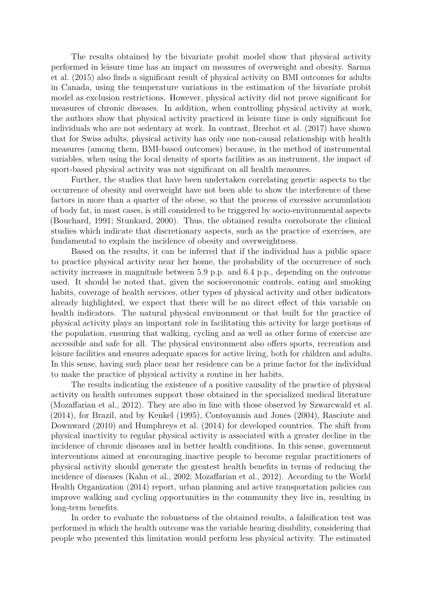The results obtained by the bivariate probit model show that physical activity performed in leisure time has an impact on measures of overweight and obesity. [Sarma](#page-14-5) [et al.](#page-14-5) [\(2015\)](#page-14-5) also finds a significant result of physical activity on BMI outcomes for adults in Canada, using the temperature variations in the estimation of the bivariate probit model as exclusion restrictions. However, physical activity did not prove significant for measures of chronic diseases. In addition, when controlling physical activity at work, the authors show that physical activity practiced in leisure time is only significant for individuals who are not sedentary at work. In contrast, [Brechot et al. \(2017\)](#page-11-4) have shown that for Swiss adults, physical activity has only one non-causal relationship with health measures (among them, BMI-based outcomes) because, in the method of instrumental variables, when using the local density of sports facilities as an instrument, the impact of sport-based physical activity was not significant on all health measures.

Further, the studies that have been undertaken correlating genetic aspects to the occurrence of obesity and overweight have not been able to show the interference of these factors in more than a quarter of the obese, so that the process of excessive accumulation of body fat, in most cases, is still considered to be triggered by socio-environmental aspects [\(Bouchard, 1991;](#page-10-7) [Stunkard, 2000\)](#page-14-6). Thus, the obtained results corroborate the clinical studies which indicate that discretionary aspects, such as the practice of exercises, are fundamental to explain the incidence of obesity and overweightness.

Based on the results, it can be inferred that if the individual has a public space to practice physical activity near her home, the probability of the occurrence of such activity increases in magnitude between 5.9 p.p. and 6.4 p.p., depending on the outcome used. It should be noted that, given the socioeconomic controls, eating and smoking habits, coverage of health services, other types of physical activity and other indicators already highlighted, we expect that there will be no direct effect of this variable on health indicators. The natural physical environment or that built for the practice of physical activity plays an important role in facilitating this activity for large portions of the population, ensuring that walking, cycling and as well as other forms of exercise are accessible and safe for all. The physical environment also offers sports, recreation and leisure facilities and ensures adequate spaces for active living, both for children and adults. In this sense, having such place near her residence can be a prime factor for the individual to make the practice of physical activity a routine in her habits.

The results indicating the existence of a positive causality of the practice of physical activity on health outcomes support those obtained in the specialized medical literature [\(Mozaffarian et al., 2012\)](#page-13-12). They are also in line with those observed by [Szwarcwald et al.](#page-14-1) [\(2014\)](#page-14-1), for Brazil, and by [Kenkel \(1995\)](#page-12-3), [Contoyannis and Jones \(2004\)](#page-11-10), [Rasciute and](#page-13-9) [Downward \(2010\)](#page-13-9) and [Humphreys et al. \(2014\)](#page-12-6) for developed countries. The shift from physical inactivity to regular physical activity is associated with a greater decline in the incidence of chronic diseases and in better health conditions. In this sense, government interventions aimed at encouraging inactive people to become regular practitioners of physical activity should generate the greatest health benefits in terms of reducing the incidence of diseases [\(Kahn et al., 2002;](#page-12-13) [Mozaffarian et al., 2012\)](#page-13-12). According to the [World](#page-14-7) [Health Organization](#page-14-7) [\(2014\)](#page-14-7) report, urban planning and active transportation policies can improve walking and cycling opportunities in the community they live in, resulting in long-term benefits.

In order to evaluate the robustness of the obtained results, a falsification test was performed in which the health outcome was the variable hearing disability, considering that people who presented this limitation would perform less physical activity. The estimated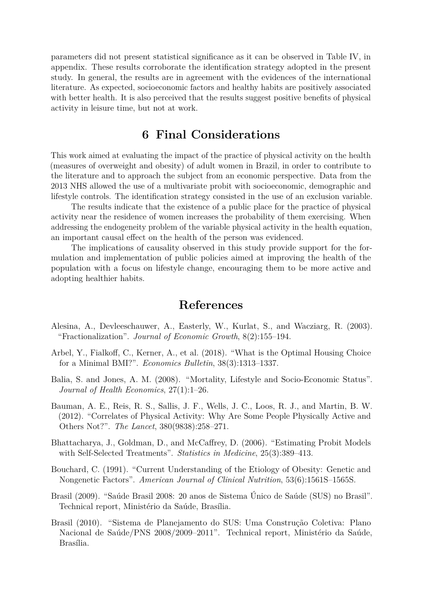parameters did not present statistical significance as it can be observed in Table [IV,](#page-21-0) in appendix. These results corroborate the identification strategy adopted in the present study. In general, the results are in agreement with the evidences of the international literature. As expected, socioeconomic factors and healthy habits are positively associated with better health. It is also perceived that the results suggest positive benefits of physical activity in leisure time, but not at work.

#### **6 Final Considerations**

This work aimed at evaluating the impact of the practice of physical activity on the health (measures of overweight and obesity) of adult women in Brazil, in order to contribute to the literature and to approach the subject from an economic perspective. Data from the 2013 NHS allowed the use of a multivariate probit with socioeconomic, demographic and lifestyle controls. The identification strategy consisted in the use of an exclusion variable.

The results indicate that the existence of a public place for the practice of physical activity near the residence of women increases the probability of them exercising. When addressing the endogeneity problem of the variable physical activity in the health equation, an important causal effect on the health of the person was evidenced.

The implications of causality observed in this study provide support for the formulation and implementation of public policies aimed at improving the health of the population with a focus on lifestyle change, encouraging them to be more active and adopting healthier habits.

#### **References**

- <span id="page-10-4"></span>Alesina, A., Devleeschauwer, A., Easterly, W., Kurlat, S., and Wacziarg, R. (2003). "Fractionalization". *Journal of Economic Growth*, 8(2):155–194.
- <span id="page-10-1"></span>Arbel, Y., Fialkoff, C., Kerner, A., et al. (2018). "What is the Optimal Housing Choice for a Minimal BMI?". *Economics Bulletin*, 38(3):1313–1337.
- <span id="page-10-2"></span>Balia, S. and Jones, A. M. (2008). "Mortality, Lifestyle and Socio-Economic Status". *Journal of Health Economics*, 27(1):1–26.
- <span id="page-10-0"></span>Bauman, A. E., Reis, R. S., Sallis, J. F., Wells, J. C., Loos, R. J., and Martin, B. W. (2012). "Correlates of Physical Activity: Why Are Some People Physically Active and Others Not?". *The Lancet*, 380(9838):258–271.
- <span id="page-10-3"></span>Bhattacharya, J., Goldman, D., and McCaffrey, D. (2006). "Estimating Probit Models with Self-Selected Treatments". *Statistics in Medicine*, 25(3):389–413.
- <span id="page-10-7"></span>Bouchard, C. (1991). "Current Understanding of the Etiology of Obesity: Genetic and Nongenetic Factors". *American Journal of Clinical Nutrition*, 53(6):1561S–1565S.
- <span id="page-10-6"></span>Brasil (2009). "Saúde Brasil 2008: 20 anos de Sistema Único de Saúde (SUS) no Brasil". Technical report, Ministério da Saúde, Brasília.
- <span id="page-10-5"></span>Brasil (2010). "Sistema de Planejamento do SUS: Uma Construção Coletiva: Plano Nacional de Saúde/PNS 2008/2009–2011". Technical report, Ministério da Saúde, Brasília.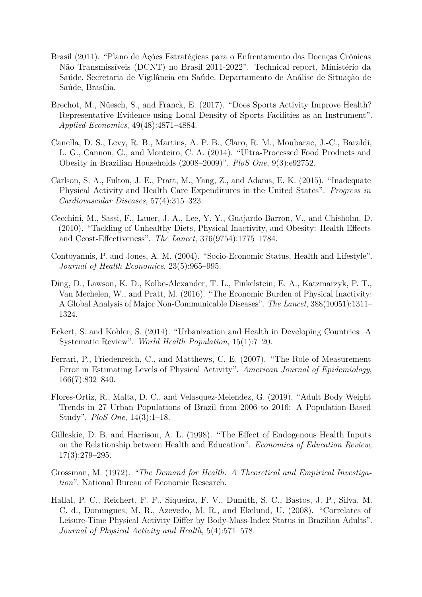- <span id="page-11-3"></span>Brasil (2011). "Plano de Ações Estratégicas para o Enfrentamento das Doenças Crônicas Não Transmissíveis (DCNT) no Brasil 2011-2022". Technical report, Ministério da Saúde. Secretaria de Vigilância em Saúde. Departamento de Análise de Situação de Saúde, Brasília.
- <span id="page-11-4"></span>Brechot, M., Nüesch, S., and Franck, E. (2017). "Does Sports Activity Improve Health? Representative Evidence using Local Density of Sports Facilities as an Instrument". *Applied Economics*, 49(48):4871–4884.
- <span id="page-11-6"></span>Canella, D. S., Levy, R. B., Martins, A. P. B., Claro, R. M., Moubarac, J.-C., Baraldi, L. G., Cannon, G., and Monteiro, C. A. (2014). "Ultra-Processed Food Products and Obesity in Brazilian Households (2008–2009)". *PloS One*, 9(3):e92752.
- <span id="page-11-2"></span>Carlson, S. A., Fulton, J. E., Pratt, M., Yang, Z., and Adams, E. K. (2015). "Inadequate Physical Activity and Health Care Expenditures in the United States". *Progress in Cardiovascular Diseases*, 57(4):315–323.
- <span id="page-11-5"></span>Cecchini, M., Sassi, F., Lauer, J. A., Lee, Y. Y., Guajardo-Barron, V., and Chisholm, D. (2010). "Tackling of Unhealthy Diets, Physical Inactivity, and Obesity: Health Effects and Ccost-Effectiveness". *The Lancet*, 376(9754):1775–1784.
- <span id="page-11-10"></span>Contoyannis, P. and Jones, A. M. (2004). "Socio-Economic Status, Health and Lifestyle". *Journal of Health Economics*, 23(5):965–995.
- <span id="page-11-1"></span>Ding, D., Lawson, K. D., Kolbe-Alexander, T. L., Finkelstein, E. A., Katzmarzyk, P. T., Van Mechelen, W., and Pratt, M. (2016). "The Economic Burden of Physical Inactivity: A Global Analysis of Major Non-Communicable Diseases". *The Lancet*, 388(10051):1311– 1324.
- <span id="page-11-11"></span>Eckert, S. and Kohler, S. (2014). "Urbanization and Health in Developing Countries: A Systematic Review". *World Health Population*, 15(1):7–20.
- <span id="page-11-8"></span>Ferrari, P., Friedenreich, C., and Matthews, C. E. (2007). "The Role of Measurement Error in Estimating Levels of Physical Activity". *American Journal of Epidemiology*, 166(7):832–840.
- <span id="page-11-7"></span>Flores-Ortiz, R., Malta, D. C., and Velasquez-Melendez, G. (2019). "Adult Body Weight Trends in 27 Urban Populations of Brazil from 2006 to 2016: A Population-Based Study". *PloS One*, 14(3):1–18.
- <span id="page-11-9"></span>Gilleskie, D. B. and Harrison, A. L. (1998). "The Effect of Endogenous Health Inputs on the Relationship between Health and Education". *Economics of Education Review*, 17(3):279–295.
- <span id="page-11-12"></span>Grossman, M. (1972). *"The Demand for Health: A Theoretical and Empirical Investigation"*. National Bureau of Economic Research.
- <span id="page-11-0"></span>Hallal, P. C., Reichert, F. F., Siqueira, F. V., Dumith, S. C., Bastos, J. P., Silva, M. C. d., Domingues, M. R., Azevedo, M. R., and Ekelund, U. (2008). "Correlates of Leisure-Time Physical Activity Differ by Body-Mass-Index Status in Brazilian Adults". *Journal of Physical Activity and Health*, 5(4):571–578.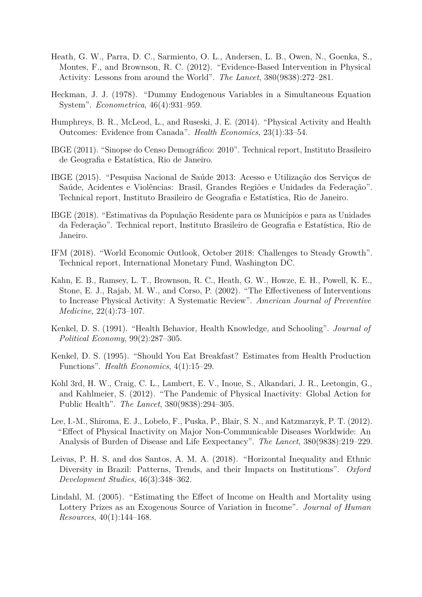- <span id="page-12-2"></span>Heath, G. W., Parra, D. C., Sarmiento, O. L., Andersen, L. B., Owen, N., Goenka, S., Montes, F., and Brownson, R. C. (2012). "Evidence-Based Intervention in Physical Activity: Lessons from around the World". *The Lancet*, 380(9838):272–281.
- <span id="page-12-12"></span>Heckman, J. J. (1978). "Dummy Endogenous Variables in a Simultaneous Equation System". *Econometrica*, 46(4):931–959.
- <span id="page-12-6"></span>Humphreys, B. R., McLeod, L., and Ruseski, J. E. (2014). "Physical Activity and Health Outcomes: Evidence from Canada". *Health Economics*, 23(1):33–54.
- <span id="page-12-10"></span>IBGE (2011). "Sinopse do Censo Demográfico: 2010". Technical report, Instituto Brasileiro de Geografia e Estatística, Rio de Janeiro.
- <span id="page-12-11"></span>IBGE (2015). "Pesquisa Nacional de Saúde 2013: Acesso e Utilização dos Serviços de Saúde, Acidentes e Violências: Brasil, Grandes Regiões e Unidades da Federação". Technical report, Instituto Brasileiro de Geografia e Estatística, Rio de Janeiro.
- <span id="page-12-7"></span>IBGE (2018). "Estimativas da População Residente para os Municípios e para as Unidades da Federação". Technical report, Instituto Brasileiro de Geografia e Estatística, Rio de Janeiro.
- <span id="page-12-8"></span>IFM (2018). "World Economic Outlook, October 2018: Challenges to Steady Growth". Technical report, International Monetary Fund, Washington DC.
- <span id="page-12-13"></span>Kahn, E. B., Ramsey, L. T., Brownson, R. C., Heath, G. W., Howze, E. H., Powell, K. E., Stone, E. J., Rajab, M. W., and Corso, P. (2002). "The Effectiveness of Interventions to Increase Physical Activity: A Systematic Review". *American Journal of Preventive Medicine*, 22(4):73–107.
- <span id="page-12-4"></span>Kenkel, D. S. (1991). "Health Behavior, Health Knowledge, and Schooling". *Journal of Political Economy*, 99(2):287–305.
- <span id="page-12-3"></span>Kenkel, D. S. (1995). "Should You Eat Breakfast? Estimates from Health Production Functions". *Health Economics*, 4(1):15–29.
- <span id="page-12-0"></span>Kohl 3rd, H. W., Craig, C. L., Lambert, E. V., Inoue, S., Alkandari, J. R., Leetongin, G., and Kahlmeier, S. (2012). "The Pandemic of Physical Inactivity: Global Action for Public Health". *The Lancet*, 380(9838):294–305.
- <span id="page-12-1"></span>Lee, I.-M., Shiroma, E. J., Lobelo, F., Puska, P., Blair, S. N., and Katzmarzyk, P. T. (2012). "Effect of Physical Inactivity on Major Non-Communicable Diseases Worldwide: An Analysis of Burden of Disease and Life Eexpectancy". *The Lancet*, 380(9838):219–229.
- <span id="page-12-9"></span>Leivas, P. H. S. and dos Santos, A. M. A. (2018). "Horizontal Inequality and Ethnic Diversity in Brazil: Patterns, Trends, and their Impacts on Institutions". *Oxford Development Studies*, 46(3):348–362.
- <span id="page-12-5"></span>Lindahl, M. (2005). "Estimating the Effect of Income on Health and Mortality using Lottery Prizes as an Exogenous Source of Variation in Income". *Journal of Human Resources*, 40(1):144–168.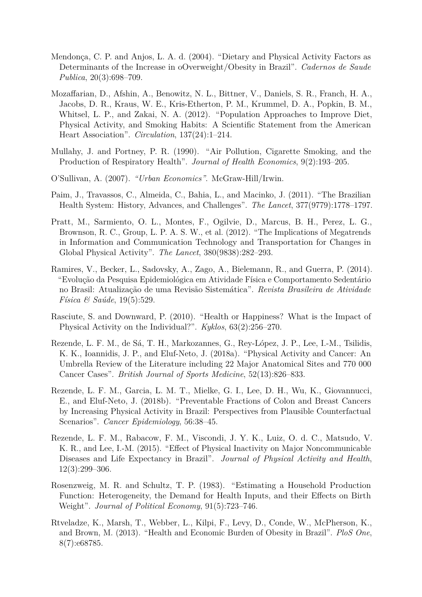- <span id="page-13-6"></span>Mendonça, C. P. and Anjos, L. A. d. (2004). "Dietary and Physical Activity Factors as Determinants of the Increase in oOverweight/Obesity in Brazil". *Cadernos de Saude Publica*, 20(3):698–709.
- <span id="page-13-12"></span>Mozaffarian, D., Afshin, A., Benowitz, N. L., Bittner, V., Daniels, S. R., Franch, H. A., Jacobs, D. R., Kraus, W. E., Kris-Etherton, P. M., Krummel, D. A., Popkin, B. M., Whitsel, L. P., and Zakai, N. A. (2012). "Population Approaches to Improve Diet, Physical Activity, and Smoking Habits: A Scientific Statement from the American Heart Association". *Circulation*, 137(24):1–214.
- <span id="page-13-8"></span>Mullahy, J. and Portney, P. R. (1990). "Air Pollution, Cigarette Smoking, and the Production of Respiratory Health". *Journal of Health Economics*, 9(2):193–205.
- <span id="page-13-10"></span>O'Sullivan, A. (2007). *"Urban Economics"*. McGraw-Hill/Irwin.
- <span id="page-13-11"></span>Paim, J., Travassos, C., Almeida, C., Bahia, L., and Macinko, J. (2011). "The Brazilian Health System: History, Advances, and Challenges". *The Lancet*, 377(9779):1778–1797.
- <span id="page-13-0"></span>Pratt, M., Sarmiento, O. L., Montes, F., Ogilvie, D., Marcus, B. H., Perez, L. G., Brownson, R. C., Group, L. P. A. S. W., et al. (2012). "The Implications of Megatrends in Information and Communication Technology and Transportation for Changes in Global Physical Activity". *The Lancet*, 380(9838):282–293.
- <span id="page-13-3"></span>Ramires, V., Becker, L., Sadovsky, A., Zago, A., Bielemann, R., and Guerra, P. (2014). "Evolução da Pesquisa Epidemiológica em Atividade Física e Comportamento Sedentário no Brasil: Atualização de uma Revisão Sistemática". *Revista Brasileira de Atividade Física & Saúde*, 19(5):529.
- <span id="page-13-9"></span>Rasciute, S. and Downward, P. (2010). "Health or Happiness? What is the Impact of Physical Activity on the Individual?". *Kyklos*, 63(2):256–270.
- <span id="page-13-2"></span>Rezende, L. F. M., de Sá, T. H., Markozannes, G., Rey-López, J. P., Lee, I.-M., Tsilidis, K. K., Ioannidis, J. P., and Eluf-Neto, J. (2018a). "Physical Activity and Cancer: An Umbrella Review of the Literature including 22 Major Anatomical Sites and 770 000 Cancer Cases". *British Journal of Sports Medicine*, 52(13):826–833.
- <span id="page-13-1"></span>Rezende, L. F. M., Garcia, L. M. T., Mielke, G. I., Lee, D. H., Wu, K., Giovannucci, E., and Eluf-Neto, J. (2018b). "Preventable Fractions of Colon and Breast Cancers by Increasing Physical Activity in Brazil: Perspectives from Plausible Counterfactual Scenarios". *Cancer Epidemiology*, 56:38–45.
- <span id="page-13-4"></span>Rezende, L. F. M., Rabacow, F. M., Viscondi, J. Y. K., Luiz, O. d. C., Matsudo, V. K. R., and Lee, I.-M. (2015). "Effect of Physical Inactivity on Major Noncommunicable Diseases and Life Expectancy in Brazil". *Journal of Physical Activity and Health*, 12(3):299–306.
- <span id="page-13-7"></span>Rosenzweig, M. R. and Schultz, T. P. (1983). "Estimating a Household Production Function: Heterogeneity, the Demand for Health Inputs, and their Effects on Birth Weight". *Journal of Political Economy*, 91(5):723–746.
- <span id="page-13-5"></span>Rtveladze, K., Marsh, T., Webber, L., Kilpi, F., Levy, D., Conde, W., McPherson, K., and Brown, M. (2013). "Health and Economic Burden of Obesity in Brazil". *PloS One*, 8(7):e68785.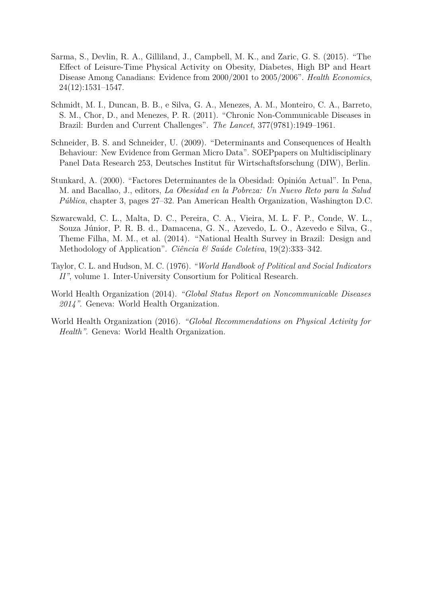- <span id="page-14-5"></span>Sarma, S., Devlin, R. A., Gilliland, J., Campbell, M. K., and Zaric, G. S. (2015). "The Effect of Leisure-Time Physical Activity on Obesity, Diabetes, High BP and Heart Disease Among Canadians: Evidence from 2000/2001 to 2005/2006". *Health Economics*, 24(12):1531–1547.
- <span id="page-14-4"></span>Schmidt, M. I., Duncan, B. B., e Silva, G. A., Menezes, A. M., Monteiro, C. A., Barreto, S. M., Chor, D., and Menezes, P. R. (2011). "Chronic Non-Communicable Diseases in Brazil: Burden and Current Challenges". *The Lancet*, 377(9781):1949–1961.
- <span id="page-14-2"></span>Schneider, B. S. and Schneider, U. (2009). "Determinants and Consequences of Health Behaviour: New Evidence from German Micro Data". SOEPpapers on Multidisciplinary Panel Data Research 253, Deutsches Institut für Wirtschaftsforschung (DIW), Berlin.
- <span id="page-14-6"></span>Stunkard, A. (2000). "Factores Determinantes de la Obesidad: Opinión Actual". In Pena, M. and Bacallao, J., editors, *La Obesidad en la Pobreza: Un Nuevo Reto para la Salud Pública*, chapter 3, pages 27–32. Pan American Health Organization, Washington D.C.
- <span id="page-14-1"></span>Szwarcwald, C. L., Malta, D. C., Pereira, C. A., Vieira, M. L. F. P., Conde, W. L., Souza Júnior, P. R. B. d., Damacena, G. N., Azevedo, L. O., Azevedo e Silva, G., Theme Filha, M. M., et al. (2014). "National Health Survey in Brazil: Design and Methodology of Application". *Ciência & Saúde Coletiva*, 19(2):333–342.
- <span id="page-14-3"></span>Taylor, C. L. and Hudson, M. C. (1976). *"World Handbook of Political and Social Indicators II"*, volume 1. Inter-University Consortium for Political Research.
- <span id="page-14-7"></span>World Health Organization (2014). *"Global Status Report on Noncommunicable Diseases 2014"*. Geneva: World Health Organization.
- <span id="page-14-0"></span>World Health Organization (2016). *"Global Recommendations on Physical Activity for Health"*. Geneva: World Health Organization.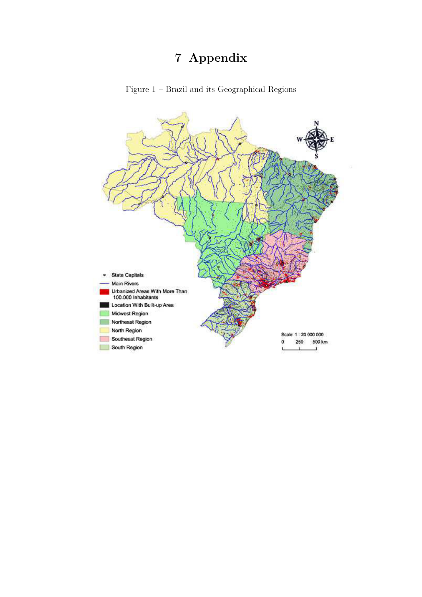# **7 Appendix**



<span id="page-15-0"></span>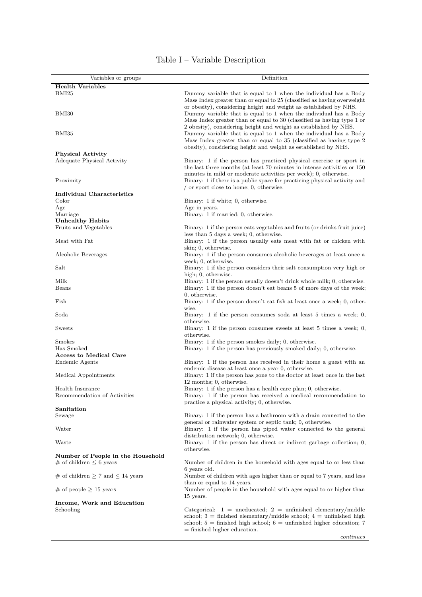<span id="page-16-0"></span>

| Variables or groups                                               | Definition                                                                                                                                                                                                        |  |  |  |
|-------------------------------------------------------------------|-------------------------------------------------------------------------------------------------------------------------------------------------------------------------------------------------------------------|--|--|--|
| <b>Health Variables</b>                                           |                                                                                                                                                                                                                   |  |  |  |
| BMI25                                                             | Dummy variable that is equal to 1 when the individual has a Body<br>Mass Index greater than or equal to 25 (classified as having overweight<br>or obesity), considering height and weight as established by NHS.  |  |  |  |
| BMI30                                                             | Dummy variable that is equal to 1 when the individual has a Body<br>Mass Index greater than or equal to 30 (classified as having type 1 or<br>2 obesity), considering height and weight as established by NHS.    |  |  |  |
| BMI35                                                             | Dummy variable that is equal to 1 when the individual has a Body<br>Mass Index greater than or equal to 35 (classified as having type 2)<br>obesity), considering height and weight as established by NHS.        |  |  |  |
| <b>Physical Activity</b>                                          |                                                                                                                                                                                                                   |  |  |  |
| Adequate Physical Activity                                        | Binary: 1 if the person has practiced physical exercise or sport in<br>the last three months (at least 70 minutes in intense activities or 150<br>minutes in mild or moderate activities per week); 0, otherwise. |  |  |  |
| Proximity                                                         | Binary: 1 if there is a public space for practicing physical activity and<br>$\prime$ or sport close to home; 0, otherwise.                                                                                       |  |  |  |
| Individual Characteristics                                        |                                                                                                                                                                                                                   |  |  |  |
| Color                                                             | Binary: 1 if white; 0, otherwise.                                                                                                                                                                                 |  |  |  |
| Age                                                               | Age in years.                                                                                                                                                                                                     |  |  |  |
| Marriage                                                          | Binary: 1 if married; 0, otherwise.                                                                                                                                                                               |  |  |  |
| <b>Unhealthy Habits</b>                                           |                                                                                                                                                                                                                   |  |  |  |
| Fruits and Vegetables                                             | Binary: 1 if the person eats vegetables and fruits (or drinks fruit juice)                                                                                                                                        |  |  |  |
| Meat with Fat                                                     | less than 5 days a week; 0, otherwise.<br>Binary: 1 if the person usually eats meat with fat or chicken with                                                                                                      |  |  |  |
| Alcoholic Beverages                                               | skin; 0, otherwise.<br>Binary: 1 if the person consumes alcoholic beverages at least once a                                                                                                                       |  |  |  |
| Salt                                                              | week; 0, otherwise.<br>Binary: 1 if the person considers their salt consumption very high or                                                                                                                      |  |  |  |
| Milk                                                              | high; 0, otherwise.<br>Binary: 1 if the person usually doesn't drink whole milk; 0, otherwise.                                                                                                                    |  |  |  |
| Beans                                                             | Binary: 1 if the person doesn't eat beans 5 of more days of the week;                                                                                                                                             |  |  |  |
|                                                                   | 0, otherwise.                                                                                                                                                                                                     |  |  |  |
| Fish                                                              | Binary: 1 if the person doesn't eat fish at least once a week; 0, other-<br>wise.                                                                                                                                 |  |  |  |
| $_{\rm Soda}$                                                     | Binary: 1 if the person consumes soda at least 5 times a week; 0,<br>otherwise.                                                                                                                                   |  |  |  |
| Sweets                                                            | Binary: 1 if the person consumes sweets at least 5 times a week; 0,<br>otherwise.                                                                                                                                 |  |  |  |
| Smokes                                                            | Binary: 1 if the person smokes daily; 0, otherwise.                                                                                                                                                               |  |  |  |
| Has Smoked                                                        | Binary: 1 if the person has previously smoked daily; 0, otherwise.                                                                                                                                                |  |  |  |
| <b>Access to Medical Care</b>                                     |                                                                                                                                                                                                                   |  |  |  |
| Endemic Agents                                                    | Binary: 1 if the person has received in their home a guest with an<br>endemic disease at least once a year 0, otherwise.                                                                                          |  |  |  |
| Medical Appointments                                              | Binary: 1 if the person has gone to the doctor at least once in the last<br>12 months; 0, otherwise.                                                                                                              |  |  |  |
| Health Insurance<br>Recommendation of Activities                  | Binary: 1 if the person has a health care plan; 0, otherwise.<br>Binary: 1 if the person has received a medical recommendation to                                                                                 |  |  |  |
|                                                                   | practice a physical activity; 0, otherwise.                                                                                                                                                                       |  |  |  |
| Sanitation                                                        |                                                                                                                                                                                                                   |  |  |  |
| Sewage                                                            | Binary: 1 if the person has a bathroom with a drain connected to the                                                                                                                                              |  |  |  |
| Water                                                             | general or rainwater system or septic tank; 0, otherwise.<br>Binary: 1 if the person has piped water connected to the general                                                                                     |  |  |  |
| Waste                                                             | distribution network; 0, otherwise.<br>Binary: 1 if the person has direct or indirect garbage collection; 0,                                                                                                      |  |  |  |
|                                                                   | otherwise.                                                                                                                                                                                                        |  |  |  |
| Number of People in the Household<br># of children $\leq 6$ years | Number of children in the household with ages equal to or less than                                                                                                                                               |  |  |  |
| # of children $\geq 7$ and $\leq 14$ years                        | 6 years old.<br>Number of children with ages higher than or equal to 7 years, and less<br>than or equal to 14 years.                                                                                              |  |  |  |
| # of people $\geq$ 15 years                                       | Number of people in the household with ages equal to or higher than                                                                                                                                               |  |  |  |
| Income, Work and Education                                        | 15 years.                                                                                                                                                                                                         |  |  |  |
| Schooling                                                         | Categorical: $1 =$ uneducated; $2 =$ unfinished elementary/middle                                                                                                                                                 |  |  |  |
|                                                                   | school; $3 =$ finished elementary/middle school; $4 =$ unfinished high                                                                                                                                            |  |  |  |
|                                                                   | school; $5 =$ finished high school; $6 =$ unfinished higher education; 7<br>$=$ finished higher education.                                                                                                        |  |  |  |

#### Table I – Variable Description

*continues*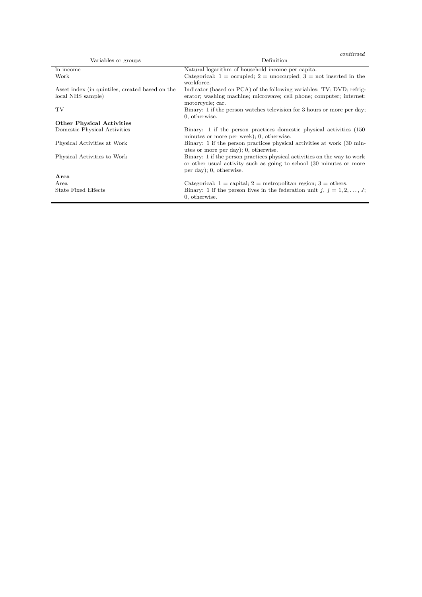| Variables or groups                             | Definition                                                                                                                                                                 |  |  |  |
|-------------------------------------------------|----------------------------------------------------------------------------------------------------------------------------------------------------------------------------|--|--|--|
| In income                                       | Natural logarithm of household income per capita.                                                                                                                          |  |  |  |
| Work                                            | Categorical: $1 =$ occupied; $2 =$ unoccupied; $3 =$ not inserted in the<br>workforce.                                                                                     |  |  |  |
| Asset index (in quintiles, created based on the | Indicator (based on PCA) of the following variables: TV; DVD; refrig-                                                                                                      |  |  |  |
| local NHS sample)                               | erator; washing machine; microwave; cell phone; computer; internet;<br>motorcycle; car.                                                                                    |  |  |  |
| TV                                              | Binary: 1 if the person watches television for 3 hours or more per day;<br>0, otherwise.                                                                                   |  |  |  |
| <b>Other Physical Activities</b>                |                                                                                                                                                                            |  |  |  |
| Domestic Physical Activities                    | Binary: 1 if the person practices domestic physical activities (150)<br>minutes or more per week); 0, otherwise.                                                           |  |  |  |
| Physical Activities at Work                     | Binary: 1 if the person practices physical activities at work (30 min-<br>utes or more per day); 0, otherwise.                                                             |  |  |  |
| Physical Activities to Work                     | Binary: 1 if the person practices physical activities on the way to work<br>or other usual activity such as going to school (30 minutes or more<br>per day); 0, otherwise. |  |  |  |
| Area                                            |                                                                                                                                                                            |  |  |  |
| Area                                            | Categorical: $1 =$ capital; $2 =$ metropolitan region; $3 =$ others.                                                                                                       |  |  |  |
| State Fixed Effects                             | Binary: 1 if the person lives in the federation unit j, $j = 1, 2, \ldots, J;$<br>0, otherwise.                                                                            |  |  |  |

*continued*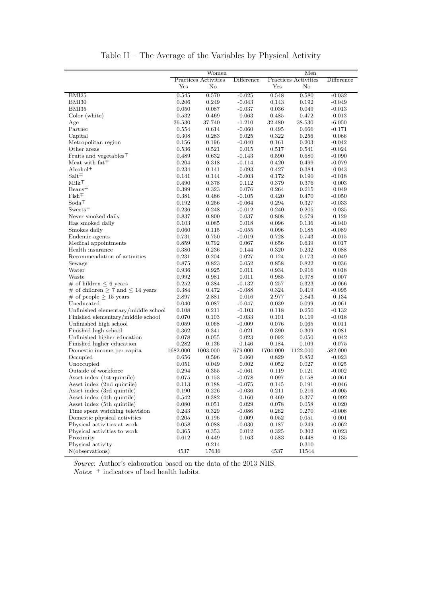<span id="page-18-0"></span>

|                                                   |          | Women                |            |          | Men                  |            |
|---------------------------------------------------|----------|----------------------|------------|----------|----------------------|------------|
|                                                   |          | Practices Activities | Difference |          | Practices Activities | Difference |
|                                                   | Yes      | $\rm No$             |            | Yes      | No                   |            |
| BMI25                                             | 0.545    | 0.570                | $-0.025$   | 0.548    | 0.580                | $-0.032$   |
| BMI30                                             | 0.206    | 0.249                | $-0.043$   | 0.143    | 0.192                | $-0.049$   |
| BMI35                                             | 0.050    | 0.087                | $-0.037$   | 0.036    | 0.049                | $-0.013$   |
| Color (white)                                     | 0.532    | 0.469                | 0.063      | 0.485    | 0.472                | 0.013      |
| Age                                               | 36.530   | 37.740               | $-1.210$   | 32.480   | 38.530               | $-6.050$   |
| Partner                                           | 0.554    | 0.614                | $-0.060$   | 0.495    | 0.666                | $-0.171$   |
| Capital                                           | 0.308    | 0.283                | 0.025      | 0.322    | 0.256                | 0.066      |
| Metropolitan region                               | 0.156    | 0.196                | $-0.040$   | 0.161    | 0.203                | $-0.042$   |
| Other areas                                       | 0.536    | 0.521                | 0.015      | 0.517    | 0.541                | $-0.024$   |
| Fruits and vegetables <sup><math>\mp</math></sup> | 0.489    | 0.632                | $-0.143$   | 0.590    | 0.680                | $-0.090$   |
| Meat with $fat\mp$                                | 0.204    | 0.318                | $-0.114$   | 0.420    | 0.499                | $-0.079$   |
| $Alcohol^{\mp}$                                   | 0.234    | 0.141                | 0.093      | 0.427    | 0.384                | 0.043      |
| $\textnormal{Salt}\,^{\mp}$                       | 0.141    | 0.144                | $-0.003$   | 0.172    | 0.190                | $-0.018$   |
| $Milk^{\mp}$                                      | 0.490    | 0.378                | 0.112      | 0.379    | 0.376                | 0.003      |
| $Beans+$                                          | 0.399    | 0.323                | 0.076      | 0.264    | 0.215                | 0.049      |
| $Fish \pm$                                        | 0.381    | 0.486                | $-0.105$   | 0.420    | 0.470                | $-0.050$   |
| $Soda^{\mp}$                                      | 0.192    | 0.256                | $-0.064$   | 0.294    | 0.327                | $-0.033$   |
| $Sweets \pm$                                      | 0.236    | 0.248                | $-0.012$   | 0.240    | 0.205                | 0.035      |
| Never smoked daily                                | 0.837    | 0.800                | 0.037      | 0.808    | 0.679                | 0.129      |
| Has smoked daily                                  | 0.103    | 0.085                | 0.018      | 0.096    | 0.136                | $-0.040$   |
| Smokes daily                                      | 0.060    | 0.115                | $-0.055$   | 0.096    | 0.185                | $-0.089$   |
| Endemic agents                                    | 0.731    | 0.750                | $-0.019$   | 0.728    | 0.743                | $-0.015$   |
| Medical appointments                              | 0.859    | 0.792                | 0.067      | 0.656    | 0.639                | 0.017      |
| Health insurance                                  | 0.380    | 0.236                | 0.144      | 0.320    | 0.232                | 0.088      |
| Recommendation of activities                      | 0.231    | 0.204                | 0.027      | 0.124    | 0.173                | $-0.049$   |
| Sewage                                            | 0.875    | 0.823                | 0.052      | 0.858    | 0.822                | 0.036      |
| Water                                             | 0.936    | 0.925                | 0.011      | 0.934    | 0.916                | 0.018      |
| Waste                                             | 0.992    | 0.981                | 0.011      | 0.985    | 0.978                | 0.007      |
| $\#$ of hildren $\leq 6$ years                    | 0.252    | 0.384                | $-0.132$   | 0.257    | 0.323                | $-0.066$   |
| # of children $\geq 7$ and $\leq 14$ years        | 0.384    | 0.472                | $-0.088$   | 0.324    | 0.419                | $-0.095$   |
| # of people $\geq$ 15 years                       | 2.897    | 2.881                | 0.016      | 2.977    | 2.843                | 0.134      |
| Uneducated                                        | 0.040    | 0.087                | $-0.047$   | 0.039    | 0.099                | $-0.061$   |
| Unfinished elementary/middle school               | 0.108    | 0.211                | $-0.103$   | 0.118    | 0.250                | $-0.132$   |
| Finished elementary/middle school                 | 0.070    | 0.103                | $-0.033$   | 0.101    | 0.119                | $-0.018$   |
| Unfinished high school                            | 0.059    | 0.068                | $-0.009$   | 0.076    | 0.065                | 0.011      |
| Finished high school                              | 0.362    | 0.341                | 0.021      | 0.390    | 0.309                | 0.081      |
| Unfinished higher education                       | 0.078    | 0.055                | 0.023      | 0.092    | 0.050                | 0.042      |
| Finished higher education                         | 0.282    | 0.136                | 0.146      | 0.184    | $\rm 0.109$          | 0.075      |
| Domestic income per capita                        | 1682.000 | 1003.000             | 679.000    | 1704.000 | 1122.000             | 582.000    |
| Occupied                                          | 0.656    | 0.596                | 0.060      | 0.829    | 0.852                | $-0.023$   |
| Unoccupied                                        | 0.051    | 0.049                | 0.002      | 0.052    | 0.027                | 0.025      |
| Outside of workforce                              | 0.294    | 0.355                | $-0.061$   | 0.119    | 0.121                | $-0.002$   |
| Asset index (1st quintile)                        | 0.075    | 0.153                | $-0.078$   | 0.097    | 0.158                | $-0.061$   |
| Asset index (2nd quintile)                        | 0.113    | 0.188                | $-0.075$   | 0.145    | $0.191\,$            | $-0.046$   |
| Asset index (3rd quintile)                        | 0.190    | 0.226                | $-0.036$   | 0.211    | 0.216                | $-0.005$   |
| Asset index (4th quintile)                        | 0.542    | 0.382                | 0.160      | 0.469    | 0.377                | 0.092      |
| Asset index (5th quintile)                        | 0.080    | 0.051                | 0.029      | 0.078    | 0.058                | 0.020      |
| Time spent watching television                    | 0.243    | 0.329                | $-0.086$   | 0.262    | 0.270                | $-0.008$   |
| Domestic physical activities                      | 0.205    | 0.196                | 0.009      | 0.052    | 0.051                | 0.001      |
| Physical activities at work                       | 0.058    | 0.088                | $-0.030$   | 0.187    | 0.249                | $-0.062$   |
| Physical activities to work                       | 0.365    | 0.353                | 0.012      | 0.325    | 0.302                | 0.023      |
| Proximity                                         | 0.612    | 0.449                | 0.163      | 0.583    | 0.448                | 0.135      |
| Physical activity                                 |          | 0.214                |            |          | 0.310                |            |
| N(observations)                                   | 4537     | 17636                |            | 4537     | 11544                |            |

Table II – The Average of the Variables by Physical Activity

*Source*: Author's elaboration based on the data of the 2013 NHS.  $Notes: \ \bar{} \ \bar{}$  indicators of bad health habits.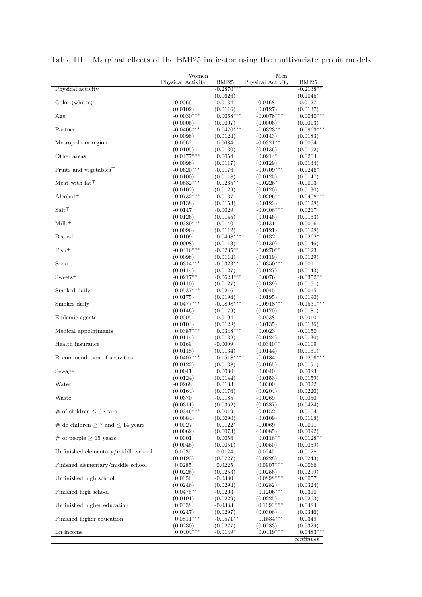|                                                   | Women                    |                         | Men                      |                       |
|---------------------------------------------------|--------------------------|-------------------------|--------------------------|-----------------------|
|                                                   | Physical Activity        | BMI <sub>25</sub>       | Physical Activity        | BMI25                 |
| Physical activity                                 |                          | $-0.2870***$            |                          | $-0.2138**$           |
| Color (whites)                                    | $-0.0066$                | (0.0626)<br>-0.0134     | $-0.0168$                | (0.1045)<br>0.0127    |
|                                                   | (0.0102)                 | (0.0116)                | (0.0127)                 | (0.0137)              |
| Age                                               | $-0.0030***$             | $0.0068***$             | $-0.0078***$             | $0.0040***$           |
|                                                   | (0.0005)                 | (0.0007)                | (0.0006)                 | (0.0013)              |
| Partner                                           | $-0.0406***$             | $0.0470***$             | $-0.0323**$              | $0.0963***$           |
|                                                   | (0.0098)                 | (0.0124)                | (0.0143)                 | (0.0183)              |
| Metropolitan region                               | 0.0062                   | 0.0084                  | $-0.0321**$              | 0.0094                |
| Other areas                                       | (0.0105)<br>$0.0477***$  | (0.0130)<br>0.0054      | (0.0136)<br>$0.0214*$    | (0.0152)<br>0.0204    |
|                                                   | (0.0098)                 | (0.0117)                | (0.0129)                 | (0.0134)              |
| Fruits and vegetables <sup><math>\pm</math></sup> | $-0.0620***$             | $-0.0176$               | $-0.0709***$             | $-0.0246*$            |
|                                                   | (0.0100)                 | (0.0118)                | (0.0125)                 | (0.0147)              |
| Meat with $\text{fat}\, \overline{\!\!\text{+}}$  | $-0.0582***$             | $0.0265**$              | $-0.0225*$               | $-0.0003$             |
|                                                   | (0.0102)                 | (0.0129)                | (0.0120)                 | (0.0130)              |
| Alcohol $\pm$                                     | $0.0732***$              | 0.0137                  | $0.0296**$               | $0.0408***$           |
| $Salt\pm$                                         | (0.0138)<br>$-0.0147$    | (0.0153)<br>$-0.0029$   | (0.0123)<br>$-0.0406***$ | (0.0128)<br>0.0217    |
|                                                   | (0.0126)                 | (0.0145)                | (0.0146)                 | (0.0163)              |
| $Milk^{\mp}$                                      | $0.0389***$              | 0.0140                  | 0.0131                   | 0.0056                |
|                                                   | (0.0096)                 | (0.0112)                | (0.0121)                 | (0.0128)              |
| $Beans+$                                          | 0.0109                   | $0.0468***$             | 0.0132                   | $0.0262*$             |
|                                                   | (0.0098)                 | (0.0113)                | (0.0139)                 | (0.0146)              |
| $\mathrm{Fish}^{\mp}$                             | $-0.0416***$             | $-0.0235**$             | $-0.0270**$              | $-0.0123$             |
| $Soda \pm$                                        | (0.0098)<br>$-0.0314***$ | (0.0114)<br>$-0.0323**$ | (0.0119)<br>$-0.0350***$ | (0.0129)<br>$-0.0011$ |
|                                                   | (0.0114)                 | (0.0127)                | (0.0127)                 | (0.0143)              |
| $Sweets \pm$                                      | $-0.0217**$              | $-0.0623***$            | 0.0076                   | $-0.0352^{\ast\ast}$  |
|                                                   | (0.0110)                 | (0.0127)                | (0.0139)                 | (0.0151)              |
| Smoked daily                                      | $0.0537***$              | 0.0216                  | $-0.0045$                | -0.0015               |
|                                                   | (0.0175)                 | (0.0194)                | (0.0195)                 | (0.0190)              |
| Smokes daily                                      | $-0.0477***$             | $-0.0898***$            | $-0.0918***$             | $-0.1531***$          |
| Endemic agents                                    | (0.0146)<br>$-0.0005$    | (0.0179)<br>0.0104      | (0.0170)<br>0.0038       | (0.0181)<br>0.0010    |
|                                                   | (0.0104)                 | (0.0128)                | (0.0135)                 | (0.0136)              |
| Medical appointments                              | $0.0387***$              | $0.0348***$             | 0.0023                   | -0.0150               |
|                                                   | (0.0114)                 | (0.0132)                | (0.0124)                 | (0.0130)              |
| Health insurance                                  | 0.0169                   | $-0.0009$               | $0.0340**$               | -0.0109               |
|                                                   | (0.0118)                 | (0.0134)                | (0.0144)                 | (0.0161)              |
| Recommendation of activities                      | $0.0407***$<br>(0.0122)  | $0.1518***$<br>(0.0138) | $-0.0184$<br>(0.0165)    | $0.1256*$<br>(0.0191) |
| Sewage                                            | 0.0041                   | 0.0030                  | 0.0040                   | 0.0083                |
|                                                   | (0.0124)                 | (0.0144)                | (0.0153)                 | (0.0159)              |
| Water                                             | $-0.0268$                | 0.0133                  | 0.0300                   | 0.0022                |
|                                                   | (0.0164)                 | (0.0176)                | (0.0204)                 | (0.0220)              |
| Waste                                             | 0.0370                   | $-0.0185$               | $-0.0269$                | 0.0050                |
| $\#$ of children $\leq 6$ years                   | (0.0311)<br>$-0.0346***$ | (0.0352)                | (0.0387)                 | (0.0424)              |
|                                                   | (0.0084)                 | 0.0019<br>(0.0090)      | $-0.0152$<br>(0.0109)    | 0.0154<br>(0.0118)    |
| # de children $\geq 7$ and $\leq 14$ years        | 0.0027                   | $0.0122*$               | $-0.0069$                | -0.0011               |
|                                                   | (0.0062)                 | (0.0073)                | (0.0085)                 | (0.0092)              |
| # of people $\geq$ 15 years                       | 0.0001                   | 0.0056                  | $0.0116**$               | $-0.0128**$           |
|                                                   | (0.0045)                 | (0.0051)                | (0.0050)                 | (0.0059)              |
| Unfinished elementary/middle school               | 0.0039                   | 0.0124                  | 0.0245                   | $-0.0128$             |
| Finished elementary/middle school                 | (0.0193)<br>0.0285       | (0.0227)<br>0.0225      | (0.0228)<br>$0.0907***$  | (0.0243)<br>-0.0066   |
|                                                   | (0.0225)                 | (0.0253)                | (0.0256)                 | (0.0299)              |
| Unfinished high school                            | 0.0356                   | $-0.0380$               | $0.0898***$              | -0.0057               |
|                                                   | (0.0246)                 | (0.0294)                | (0.0282)                 | (0.0324)              |
| Finished high school                              | $0.0475**$               | -0.0203                 | $0.1206***$              | 0.0310                |
|                                                   | (0.0191)                 | (0.0229)                | (0.0225)                 | (0.0263)              |
| Unfinished higher education                       | 0.0338                   | $-0.0333$               | $0.1093***$              | 0.0484                |
| Finished higher education                         | (0.0247)<br>$0.0811***$  | (0.0297)<br>$-0.0571**$ | (0.0306)<br>$0.1584***$  | (0.0346)<br>0.0349    |
|                                                   | (0.0230)                 | (0.0277)                | (0.0283)                 | (0.0329)              |
| Ln income                                         | $0.0404***$              | $-0.0149*$              | $0.0419***$              | $0.0483**$            |
|                                                   |                          |                         |                          | continues             |

<span id="page-19-0"></span>Table III – Marginal effects of the BMI25 indicator using the multivariate probit models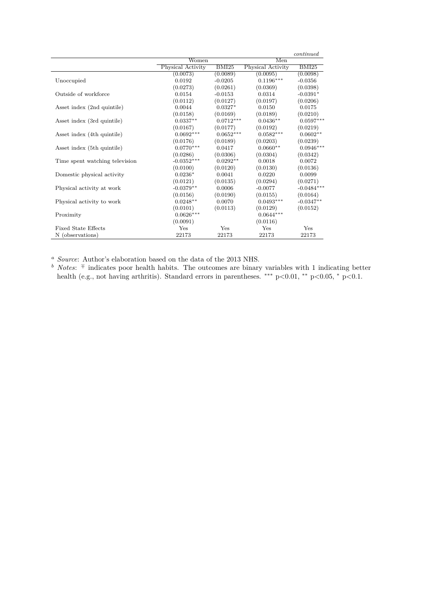|                                |                   |              |                   | continued    |  |
|--------------------------------|-------------------|--------------|-------------------|--------------|--|
|                                | Women             |              | Men               |              |  |
|                                | Physical Activity | <b>BMI25</b> | Physical Activity | BMI25        |  |
|                                | (0.0073)          | (0.0089)     | (0.0095)          | (0.0098)     |  |
| Unoccupied                     | 0.0192            | $-0.0205$    | $0.1196***$       | $-0.0356$    |  |
|                                | (0.0273)          | (0.0261)     | (0.0369)          | (0.0398)     |  |
| Outside of workforce           | 0.0154            | $-0.0153$    | 0.0314            | $-0.0391*$   |  |
|                                | (0.0112)          | (0.0127)     | (0.0197)          | (0.0206)     |  |
| Asset index (2nd quintile)     | 0.0044            | $0.0327*$    | 0.0150            | 0.0175       |  |
|                                | (0.0158)          | (0.0169)     | (0.0189)          | (0.0210)     |  |
| Asset index (3rd quintile)     | $0.0337**$        | $0.0712***$  | $0.0436**$        | $0.0597***$  |  |
|                                | (0.0167)          | (0.0177)     | (0.0192)          | (0.0219)     |  |
| Asset index (4th quintile)     | $0.0692***$       | $0.0652***$  | $0.0582***$       | $0.0602**$   |  |
|                                | (0.0176)          | (0.0189)     | (0.0203)          | (0.0239)     |  |
| Asset index (5th quintile)     | $0.0770***$       | 0.0417       | $0.0660**$        | $0.0946***$  |  |
|                                | (0.0286)          | (0.0306)     | (0.0304)          | (0.0342)     |  |
| Time spent watching television | $-0.0352***$      | $0.0292**$   | 0.0018            | 0.0072       |  |
|                                | (0.0100)          | (0.0120)     | (0.0130)          | (0.0136)     |  |
| Domestic physical activity     | $0.0236*$         | 0.0041       | 0.0220            | 0.0099       |  |
|                                | (0.0121)          | (0.0135)     | (0.0294)          | (0.0271)     |  |
| Physical activity at work      | $-0.0379**$       | 0.0006       | $-0.0077$         | $-0.0484***$ |  |
|                                | (0.0156)          | (0.0190)     | (0.0155)          | (0.0164)     |  |
| Physical activity to work      | $0.0248**$        | 0.0070       | $0.0493***$       | $-0.0347**$  |  |
|                                | (0.0101)          | (0.0113)     | (0.0129)          | (0.0152)     |  |
| Proximity                      | $0.0626***$       |              | $0.0644***$       |              |  |
|                                | (0.0091)          |              | (0.0116)          |              |  |
| <b>Fixed State Effects</b>     | Yes               | Yes          | Yes               | Yes          |  |
| N (observations)               | 22173             | 22173        | 22173             | 22173        |  |

*<sup>a</sup> Source*: Author's elaboration based on the data of the 2013 NHS.

*b Notes*: <sup>∓</sup> indicates poor health habits. The outcomes are binary variables with 1 indicating better health (e.g., not having arthritis). Standard errors in parentheses. \*\*\* p<0.01, \*\* p<0.05, \* p<0.1.